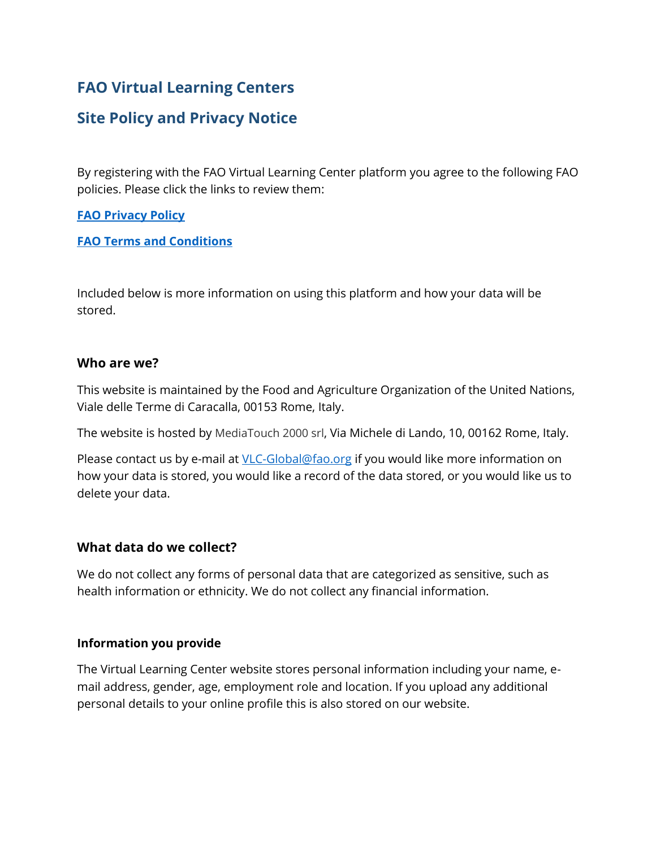# **FAO Virtual Learning Centers**

## **Site Policy and Privacy Notice**

By registering with the FAO Virtual Learning Center platform you agree to the following FAO policies. Please click the links to review them:

#### **[FAO Privacy Policy](https://www.fao.org/contact-us/privacy-policy/en/)**

#### **[FAO Terms and Conditions](https://www.fao.org/contact-us/terms/en/)**

Included below is more information on using this platform and how your data will be stored.

#### **Who are we?**

This website is maintained by the Food and Agriculture Organization of the United Nations, Viale delle Terme di Caracalla, 00153 Rome, Italy.

The website is hosted by MediaTouch 2000 srl, Via Michele di Lando, 10, 00162 Rome, Italy.

Please contact us by e-mail at [VLC-Global@fao.org](mailto:VLC-Global@fao.org) if you would like more information on how your data is stored, you would like a record of the data stored, or you would like us to delete your data.

## **What data do we collect?**

We do not collect any forms of personal data that are categorized as sensitive, such as health information or ethnicity. We do not collect any financial information.

#### **Information you provide**

The Virtual Learning Center website stores personal information including your name, email address, gender, age, employment role and location. If you upload any additional personal details to your online profile this is also stored on our website.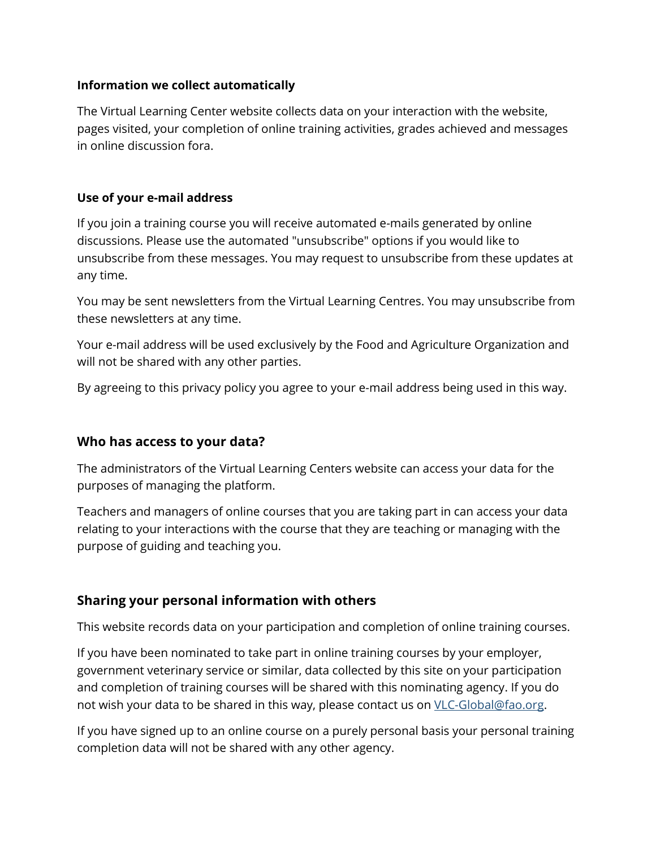#### **Information we collect automatically**

The Virtual Learning Center website collects data on your interaction with the website, pages visited, your completion of online training activities, grades achieved and messages in online discussion fora.

#### **Use of your e-mail address**

If you join a training course you will receive automated e-mails generated by online discussions. Please use the automated "unsubscribe" options if you would like to unsubscribe from these messages. You may request to unsubscribe from these updates at any time.

You may be sent newsletters from the Virtual Learning Centres. You may unsubscribe from these newsletters at any time.

Your e-mail address will be used exclusively by the Food and Agriculture Organization and will not be shared with any other parties.

By agreeing to this privacy policy you agree to your e-mail address being used in this way.

## **Who has access to your data?**

The administrators of the Virtual Learning Centers website can access your data for the purposes of managing the platform.

Teachers and managers of online courses that you are taking part in can access your data relating to your interactions with the course that they are teaching or managing with the purpose of guiding and teaching you.

## **Sharing your personal information with others**

This website records data on your participation and completion of online training courses.

If you have been nominated to take part in online training courses by your employer, government veterinary service or similar, data collected by this site on your participation and completion of training courses will be shared with this nominating agency. If you do not wish your data to be shared in this way, please contact us on [VLC-Global@fao.org.](mailto:VLC-Global@fao.org)

If you have signed up to an online course on a purely personal basis your personal training completion data will not be shared with any other agency.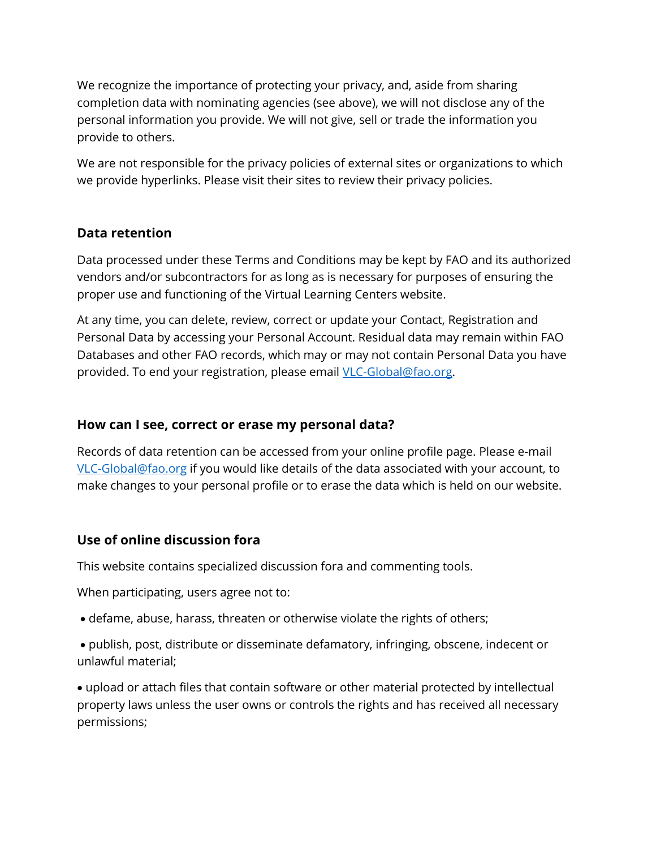We recognize the importance of protecting your privacy, and, aside from sharing completion data with nominating agencies (see above), we will not disclose any of the personal information you provide. We will not give, sell or trade the information you provide to others.

We are not responsible for the privacy policies of external sites or organizations to which we provide hyperlinks. Please visit their sites to review their privacy policies.

## **Data retention**

Data processed under these Terms and Conditions may be kept by FAO and its authorized vendors and/or subcontractors for as long as is necessary for purposes of ensuring the proper use and functioning of the Virtual Learning Centers website.

At any time, you can delete, review, correct or update your Contact, Registration and Personal Data by accessing your Personal Account. Residual data may remain within FAO Databases and other FAO records, which may or may not contain Personal Data you have provided. To end your registration, please email [VLC-Global@fao.org.](mailto:VLC-Global@fao.org)

## **How can I see, correct or erase my personal data?**

Records of data retention can be accessed from your online profile page. Please e-mail [VLC-Global@fao.org](mailto:VLC-Global@fao.org) if you would like details of the data associated with your account, to make changes to your personal profile or to erase the data which is held on our website.

## **Use of online discussion fora**

This website contains specialized discussion fora and commenting tools.

When participating, users agree not to:

defame, abuse, harass, threaten or otherwise violate the rights of others;

 publish, post, distribute or disseminate defamatory, infringing, obscene, indecent or unlawful material;

 upload or attach files that contain software or other material protected by intellectual property laws unless the user owns or controls the rights and has received all necessary permissions;